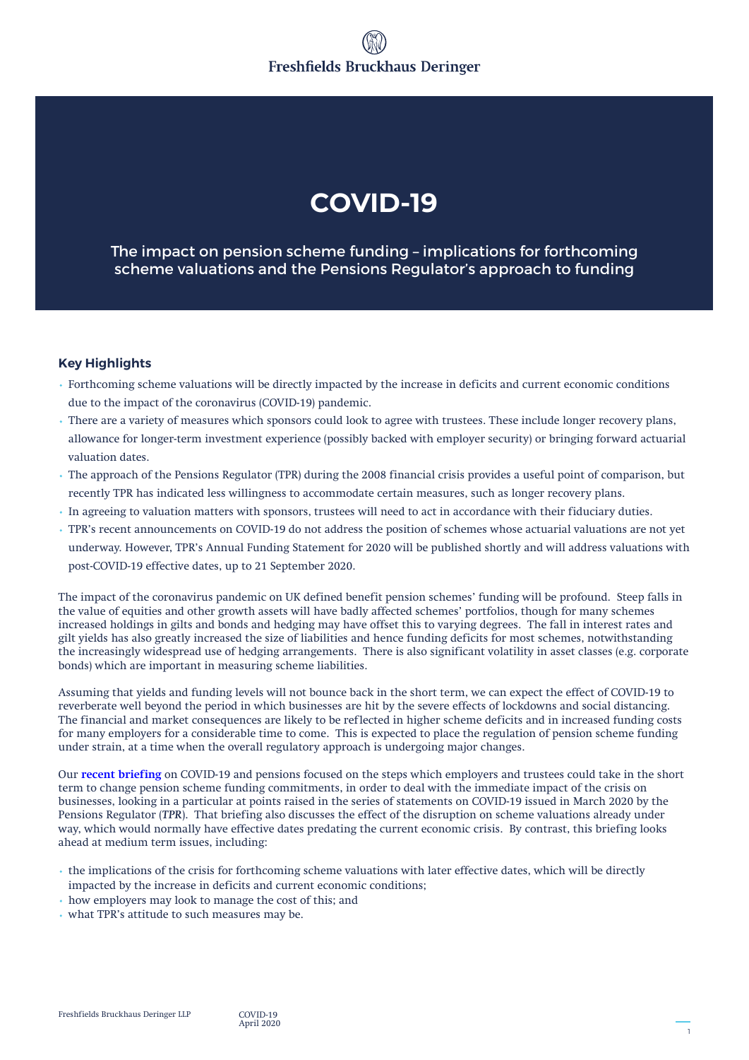# **COVID-19**

The impact on pension scheme funding – implications for forthcoming scheme valuations and the Pensions Regulator's approach to funding

# **Key Highlights**

- Forthcoming scheme valuations will be directly impacted by the increase in deficits and current economic conditions due to the impact of the coronavirus (COVID-19) pandemic.
- There are a variety of measures which sponsors could look to agree with trustees. These include longer recovery plans, allowance for longer-term investment experience (possibly backed with employer security) or bringing forward actuarial valuation dates.
- The approach of the Pensions Regulator (TPR) during the 2008 financial crisis provides a useful point of comparison, but recently TPR has indicated less willingness to accommodate certain measures, such as longer recovery plans.
- In agreeing to valuation matters with sponsors, trustees will need to act in accordance with their fiduciary duties.
- TPR's recent announcements on COVID-19 do not address the position of schemes whose actuarial valuations are not yet underway. However, TPR's Annual Funding Statement for 2020 will be published shortly and will address valuations with post-COVID-19 effective dates, up to 21 September 2020.

The impact of the coronavirus pandemic on UK defined benefit pension schemes' funding will be profound. Steep falls in the value of equities and other growth assets will have badly affected schemes' portfolios, though for many schemes increased holdings in gilts and bonds and hedging may have offset this to varying degrees. The fall in interest rates and gilt yields has also greatly increased the size of liabilities and hence funding deficits for most schemes, notwithstanding the increasingly widespread use of hedging arrangements. There is also significant volatility in asset classes (e.g. corporate bonds) which are important in measuring scheme liabilities.

Assuming that yields and funding levels will not bounce back in the short term, we can expect the effect of COVID-19 to reverberate well beyond the period in which businesses are hit by the severe effects of lockdowns and social distancing. The financial and market consequences are likely to be reflected in higher scheme deficits and in increased funding costs for many employers for a considerable time to come. This is expected to place the regulation of pension scheme funding under strain, at a time when the overall regulatory approach is undergoing major changes.

Our **[recent briefing](http://knowledge.freshfields.com/en/Global/r/4180/covid-19___the_impact_on_uk_pension_scheme_funding_and)** on COVID-19 and pensions focused on the steps which employers and trustees could take in the short term to change pension scheme funding commitments, in order to deal with the immediate impact of the crisis on businesses, looking in a particular at points raised in the series of statements on COVID-19 issued in March 2020 by the Pensions Regulator (*TPR*). That briefing also discusses the effect of the disruption on scheme valuations already under way, which would normally have effective dates predating the current economic crisis. By contrast, this briefing looks ahead at medium term issues, including:

- the implications of the crisis for forthcoming scheme valuations with later effective dates, which will be directly impacted by the increase in deficits and current economic conditions;
- how employers may look to manage the cost of this; and
- what TPR's attitude to such measures may be.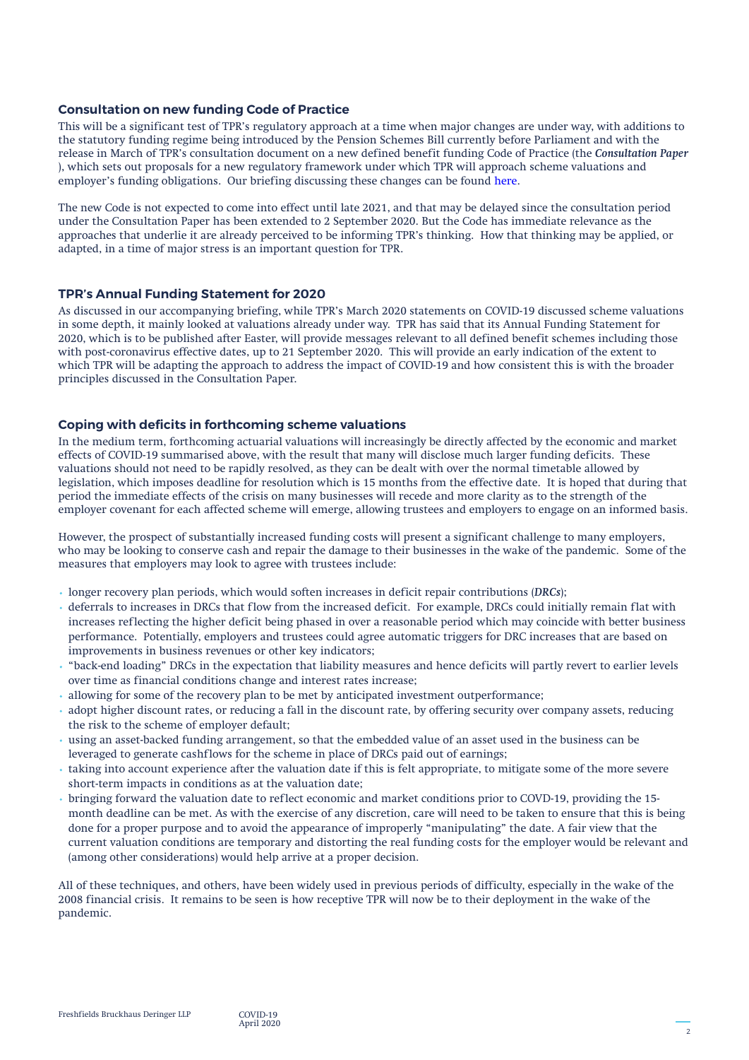#### **Consultation on new funding Code of Practice**

This will be a significant test of TPR's regulatory approach at a time when major changes are under way, with additions to the statutory funding regime being introduced by the Pension Schemes Bill currently before Parliament and with the release in March of TPR's consultation document on a new defined benefit funding Code of Practice (the *Consultation Paper* ), which sets out proposals for a new regulatory framework under which TPR will approach scheme valuations and employer's funding obligations. Our briefing discussing these changes can be found [here](http://knowledge.freshfields.com/en/Global/r/4209/covid-19_-_the_impact_on_pension_scheme_funding).

The new Code is not expected to come into effect until late 2021, and that may be delayed since the consultation period under the Consultation Paper has been extended to 2 September 2020. But the Code has immediate relevance as the approaches that underlie it are already perceived to be informing TPR's thinking. How that thinking may be applied, or adapted, in a time of major stress is an important question for TPR.

#### **TPR's Annual Funding Statement for 2020**

As discussed in our accompanying briefing, while TPR's March 2020 statements on COVID-19 discussed scheme valuations in some depth, it mainly looked at valuations already under way. TPR has said that its Annual Funding Statement for 2020, which is to be published after Easter, will provide messages relevant to all defined benefit schemes including those with post-coronavirus effective dates, up to 21 September 2020. This will provide an early indication of the extent to which TPR will be adapting the approach to address the impact of COVID-19 and how consistent this is with the broader principles discussed in the Consultation Paper.

#### **Coping with deficits in forthcoming scheme valuations**

In the medium term, forthcoming actuarial valuations will increasingly be directly affected by the economic and market effects of COVID-19 summarised above, with the result that many will disclose much larger funding deficits. These valuations should not need to be rapidly resolved, as they can be dealt with over the normal timetable allowed by legislation, which imposes deadline for resolution which is 15 months from the effective date. It is hoped that during that period the immediate effects of the crisis on many businesses will recede and more clarity as to the strength of the employer covenant for each affected scheme will emerge, allowing trustees and employers to engage on an informed basis.

However, the prospect of substantially increased funding costs will present a significant challenge to many employers, who may be looking to conserve cash and repair the damage to their businesses in the wake of the pandemic. Some of the measures that employers may look to agree with trustees include:

- longer recovery plan periods, which would soften increases in deficit repair contributions (*DRCs*);
- deferrals to increases in DRCs that flow from the increased deficit. For example, DRCs could initially remain flat with increases reflecting the higher deficit being phased in over a reasonable period which may coincide with better business performance. Potentially, employers and trustees could agree automatic triggers for DRC increases that are based on improvements in business revenues or other key indicators;
- "back-end loading" DRCs in the expectation that liability measures and hence deficits will partly revert to earlier levels over time as financial conditions change and interest rates increase;
- allowing for some of the recovery plan to be met by anticipated investment outperformance;
- adopt higher discount rates, or reducing a fall in the discount rate, by offering security over company assets, reducing the risk to the scheme of employer default;
- using an asset-backed funding arrangement, so that the embedded value of an asset used in the business can be leveraged to generate cashflows for the scheme in place of DRCs paid out of earnings;
- taking into account experience after the valuation date if this is felt appropriate, to mitigate some of the more severe short-term impacts in conditions as at the valuation date;
- bringing forward the valuation date to reflect economic and market conditions prior to COVD-19, providing the 15 month deadline can be met. As with the exercise of any discretion, care will need to be taken to ensure that this is being done for a proper purpose and to avoid the appearance of improperly "manipulating" the date. A fair view that the current valuation conditions are temporary and distorting the real funding costs for the employer would be relevant and (among other considerations) would help arrive at a proper decision.

All of these techniques, and others, have been widely used in previous periods of difficulty, especially in the wake of the 2008 financial crisis. It remains to be seen is how receptive TPR will now be to their deployment in the wake of the pandemic.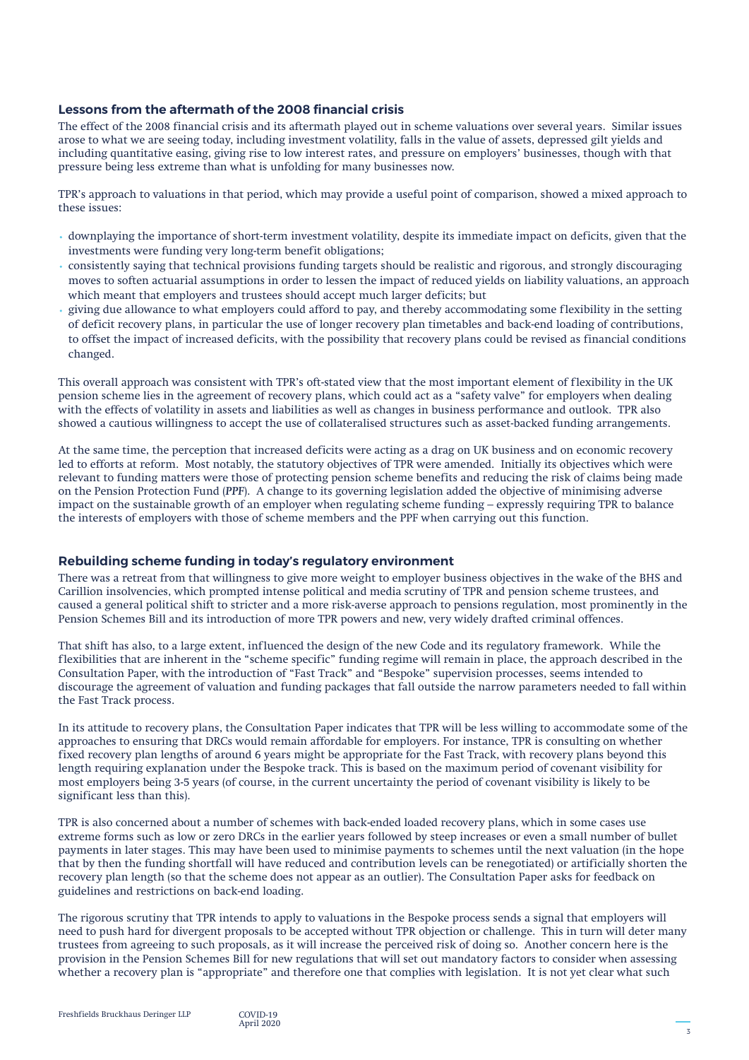## **Lessons from the aftermath of the 2008 financial crisis**

The effect of the 2008 financial crisis and its aftermath played out in scheme valuations over several years. Similar issues arose to what we are seeing today, including investment volatility, falls in the value of assets, depressed gilt yields and including quantitative easing, giving rise to low interest rates, and pressure on employers' businesses, though with that pressure being less extreme than what is unfolding for many businesses now.

TPR's approach to valuations in that period, which may provide a useful point of comparison, showed a mixed approach to these issues:

- downplaying the importance of short-term investment volatility, despite its immediate impact on deficits, given that the investments were funding very long-term benefit obligations;
- consistently saying that technical provisions funding targets should be realistic and rigorous, and strongly discouraging moves to soften actuarial assumptions in order to lessen the impact of reduced yields on liability valuations, an approach which meant that employers and trustees should accept much larger deficits; but
- giving due allowance to what employers could afford to pay, and thereby accommodating some flexibility in the setting of deficit recovery plans, in particular the use of longer recovery plan timetables and back-end loading of contributions, to offset the impact of increased deficits, with the possibility that recovery plans could be revised as financial conditions changed.

This overall approach was consistent with TPR's oft-stated view that the most important element of flexibility in the UK pension scheme lies in the agreement of recovery plans, which could act as a "safety valve" for employers when dealing with the effects of volatility in assets and liabilities as well as changes in business performance and outlook. TPR also showed a cautious willingness to accept the use of collateralised structures such as asset-backed funding arrangements.

At the same time, the perception that increased deficits were acting as a drag on UK business and on economic recovery led to efforts at reform. Most notably, the statutory objectives of TPR were amended. Initially its objectives which were relevant to funding matters were those of protecting pension scheme benefits and reducing the risk of claims being made on the Pension Protection Fund (*PPF*). A change to its governing legislation added the objective of minimising adverse impact on the sustainable growth of an employer when regulating scheme funding – expressly requiring TPR to balance the interests of employers with those of scheme members and the PPF when carrying out this function.

### **Rebuilding scheme funding in today's regulatory environment**

There was a retreat from that willingness to give more weight to employer business objectives in the wake of the BHS and Carillion insolvencies, which prompted intense political and media scrutiny of TPR and pension scheme trustees, and caused a general political shift to stricter and a more risk-averse approach to pensions regulation, most prominently in the Pension Schemes Bill and its introduction of more TPR powers and new, very widely drafted criminal offences.

That shift has also, to a large extent, influenced the design of the new Code and its regulatory framework. While the flexibilities that are inherent in the "scheme specific" funding regime will remain in place, the approach described in the Consultation Paper, with the introduction of "Fast Track" and "Bespoke" supervision processes, seems intended to discourage the agreement of valuation and funding packages that fall outside the narrow parameters needed to fall within the Fast Track process.

In its attitude to recovery plans, the Consultation Paper indicates that TPR will be less willing to accommodate some of the approaches to ensuring that DRCs would remain affordable for employers. For instance, TPR is consulting on whether fixed recovery plan lengths of around 6 years might be appropriate for the Fast Track, with recovery plans beyond this length requiring explanation under the Bespoke track. This is based on the maximum period of covenant visibility for most employers being 3-5 years (of course, in the current uncertainty the period of covenant visibility is likely to be significant less than this).

TPR is also concerned about a number of schemes with back-ended loaded recovery plans, which in some cases use extreme forms such as low or zero DRCs in the earlier years followed by steep increases or even a small number of bullet payments in later stages. This may have been used to minimise payments to schemes until the next valuation (in the hope that by then the funding shortfall will have reduced and contribution levels can be renegotiated) or artificially shorten the recovery plan length (so that the scheme does not appear as an outlier). The Consultation Paper asks for feedback on guidelines and restrictions on back-end loading.

The rigorous scrutiny that TPR intends to apply to valuations in the Bespoke process sends a signal that employers will need to push hard for divergent proposals to be accepted without TPR objection or challenge. This in turn will deter many trustees from agreeing to such proposals, as it will increase the perceived risk of doing so. Another concern here is the provision in the Pension Schemes Bill for new regulations that will set out mandatory factors to consider when assessing whether a recovery plan is "appropriate" and therefore one that complies with legislation. It is not yet clear what such

April 2020